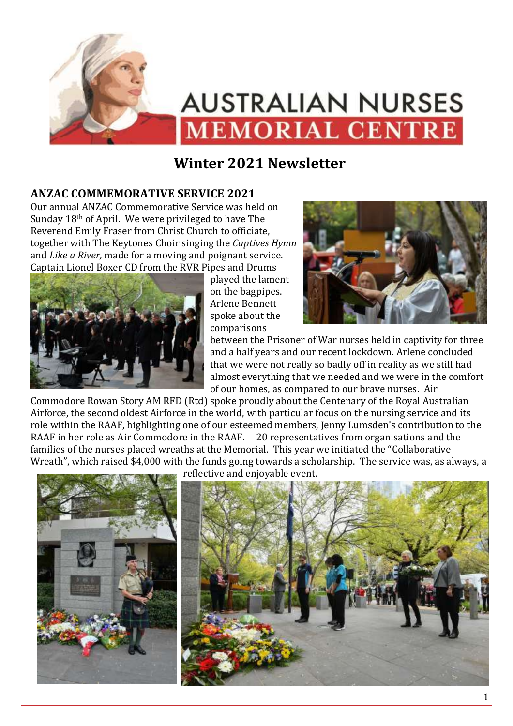

# **Winter 2021 Newsletter**

## **ANZAC COMMEMORATIVE SERVICE 2021**

Our annual ANZAC Commemorative Service was held on Sunday 18th of April. We were privileged to have The Reverend Emily Fraser from Christ Church to officiate, together with The Keytones Choir singing the *Captives Hymn* and *Like a River,* made for a moving and poignant service. Captain Lionel Boxer CD from the RVR Pipes and Drums



played the lament on the bagpipes. Arlene Bennett spoke about the comparisons



between the Prisoner of War nurses held in captivity for three and a half years and our recent lockdown. Arlene concluded that we were not really so badly off in reality as we still had almost everything that we needed and we were in the comfort of our homes, as compared to our brave nurses. Air

Commodore Rowan Story AM RFD (Rtd) spoke proudly about the Centenary of the Royal Australian Airforce, the second oldest Airforce in the world, with particular focus on the nursing service and its role within the RAAF, highlighting one of our esteemed members, Jenny Lumsden's contribution to the RAAF in her role as Air Commodore in the RAAF. 20 representatives from organisations and the families of the nurses placed wreaths at the Memorial. This year we initiated the "Collaborative Wreath", which raised \$4,000 with the funds going towards a scholarship. The service was, as always, a

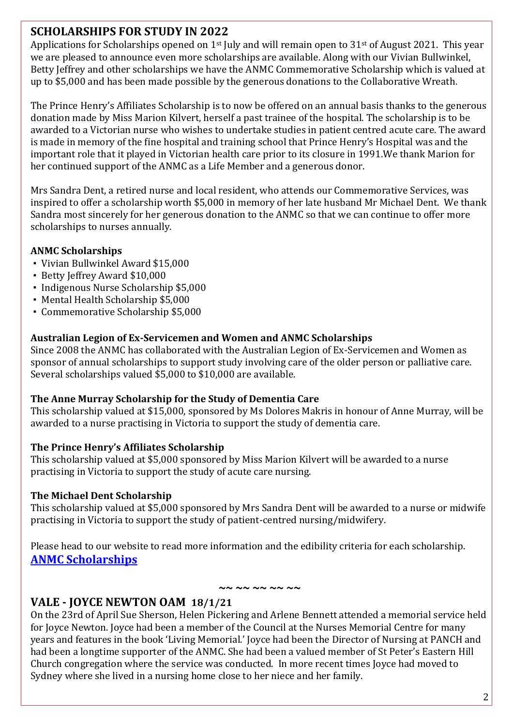## **SCHOLARSHIPS FOR STUDY IN 2022**

Applications for Scholarships opened on  $1<sup>st</sup>$  July and will remain open to  $31<sup>st</sup>$  of August 2021. This year we are pleased to announce even more scholarships are available. Along with our Vivian Bullwinkel, Betty Jeffrey and other scholarships we have the ANMC Commemorative Scholarship which is valued at up to \$5,000 and has been made possible by the generous donations to the Collaborative Wreath.

The Prince Henry's Affiliates Scholarship is to now be offered on an annual basis thanks to the generous donation made by Miss Marion Kilvert, herself a past trainee of the hospital. The scholarship is to be awarded to a Victorian nurse who wishes to undertake studies in patient centred acute care. The award is made in memory of the fine hospital and training school that Prince Henry's Hospital was and the important role that it played in Victorian health care prior to its closure in 1991.We thank Marion for her continued support of the ANMC as a Life Member and a generous donor.

Mrs Sandra Dent, a retired nurse and local resident, who attends our Commemorative Services, was inspired to offer a scholarship worth \$5,000 in memory of her late husband Mr Michael Dent. We thank Sandra most sincerely for her generous donation to the ANMC so that we can continue to offer more scholarships to nurses annually.

#### **ANMC Scholarships**

- Vivian Bullwinkel Award \$15,000
- Betty Jeffrey Award \$10,000
- Indigenous Nurse Scholarship \$5,000
- Mental Health Scholarship \$5,000
- Commemorative Scholarship \$5,000

#### **Australian Legion of Ex-Servicemen and Women and ANMC Scholarships**

Since 2008 the ANMC has collaborated with the Australian Legion of Ex-Servicemen and Women as sponsor of annual scholarships to support study involving care of the older person or palliative care. Several scholarships valued \$5,000 to \$10,000 are available.

#### **The Anne Murray Scholarship for the Study of Dementia Care**

This scholarship valued at \$15,000, sponsored by Ms Dolores Makris in honour of Anne Murray, will be awarded to a nurse practising in Victoria to support the study of dementia care.

#### **The Prince Henry's Affiliates Scholarship**

This scholarship valued at \$5,000 sponsored by Miss Marion Kilvert will be awarded to a nurse practising in Victoria to support the study of acute care nursing.

#### **The Michael Dent Scholarship**

This scholarship valued at \$5,000 sponsored by Mrs Sandra Dent will be awarded to a nurse or midwife practising in Victoria to support the study of patient-centred nursing/midwifery.

Please head to our website to read more information and the edibility criteria for each scholarship. **[ANMC Scholarships](https://australiannursesmemorialcentre.org.au/index.php/scholarships/)**

#### **~~ ~~ ~~ ~~ ~~**

## **VALE - JOYCE NEWTON OAM 18/1/21**

On the 23rd of April Sue Sherson, Helen Pickering and Arlene Bennett attended a memorial service held for Joyce Newton. Joyce had been a member of the Council at the Nurses Memorial Centre for many years and features in the book 'Living Memorial.' Joyce had been the Director of Nursing at PANCH and had been a longtime supporter of the ANMC. She had been a valued member of St Peter's Eastern Hill Church congregation where the service was conducted. In more recent times Joyce had moved to Sydney where she lived in a nursing home close to her niece and her family.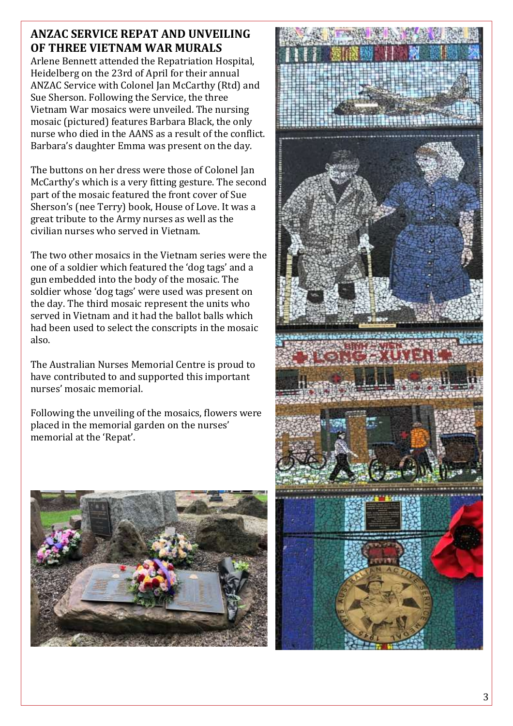## **ANZAC SERVICE REPAT AND UNVEILING OF THREE VIETNAM WAR MURALS**

Arlene Bennett attended the Repatriation Hospital, Heidelberg on the 23rd of April for their annual ANZAC Service with Colonel Jan McCarthy (Rtd) and Sue Sherson. Following the Service, the three Vietnam War mosaics were unveiled. The nursing mosaic (pictured) features Barbara Black, the only nurse who died in the AANS as a result of the conflict. Barbara's daughter Emma was present on the day.

The buttons on her dress were those of Colonel Jan McCarthy's which is a very fitting gesture. The second part of the mosaic featured the front cover of Sue Sherson's (nee Terry) book, House of Love. It was a great tribute to the Army nurses as well as the civilian nurses who served in Vietnam.

The two other mosaics in the Vietnam series were the one of a soldier which featured the 'dog tags' and a gun embedded into the body of the mosaic. The soldier whose 'dog tags' were used was present on the day. The third mosaic represent the units who served in Vietnam and it had the ballot balls which had been used to select the conscripts in the mosaic also.

The Australian Nurses Memorial Centre is proud to have contributed to and supported this important nurses' mosaic memorial.

Following the unveiling of the mosaics, flowers were placed in the memorial garden on the nurses' memorial at the 'Repat'.



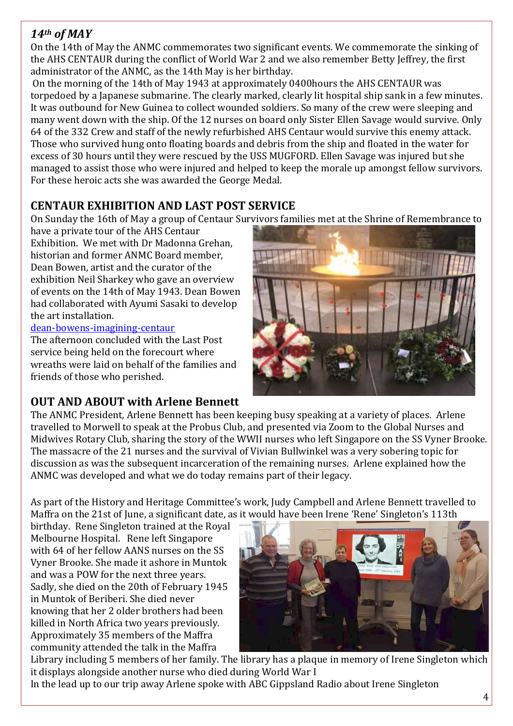## *14th of MAY*

On the 14th of May the ANMC commemorates two significant events. We commemorate the sinking of the AHS CENTAUR during the conflict of World War 2 and we also remember Betty Jeffrey, the first administrator of the ANMC, as the 14th May is her birthday.

On the morning of the 14th of May 1943 at approximately 0400hours the AHS CENTAUR was torpedoed by a Japanese submarine. The clearly marked, clearly lit hospital ship sank in a few minutes. It was outbound for New Guinea to collect wounded soldiers. So many of the crew were sleeping and many went down with the ship. Of the 12 nurses on board only Sister Ellen Savage would survive. Only 64 of the 332 Crew and staff of the newly refurbished AHS Centaur would survive this enemy attack. Those who survived hung onto floating boards and debris from the ship and floated in the water for excess of 30 hours until they were rescued by the USS MUGFORD. Ellen Savage was injured but she managed to assist those who were injured and helped to keep the morale up amongst fellow survivors. For these heroic acts she was awarded the George Medal.

## **CENTAUR EXHIBITION AND LAST POST SERVICE**

On Sunday the 16th of May a group of Centaur Survivors families met at the Shrine of Remembrance to

have a private tour of the AHS Centaur Exhibition. We met with Dr Madonna Grehan, historian and former ANMC Board member, Dean Bowen, artist and the curator of the exhibition Neil Sharkey who gave an overview of events on the 14th of May 1943. Dean Bowen had collaborated with Ayumi Sasaki to develop the art installation.

#### [dean-bowens-imagining-centaur](https://www.shrine.org.au/exhibition-dean-bowens-imagining-centaur)

The afternoon concluded with the Last Post service being held on the forecourt where wreaths were laid on behalf of the families and friends of those who perished.

## **OUT AND ABOUT with Arlene Bennett**



The ANMC President, Arlene Bennett has been keeping busy speaking at a variety of places. Arlene travelled to Morwell to speak at the Probus Club, and presented via Zoom to the Global Nurses and Midwives Rotary Club, sharing the story of the WWII nurses who left Singapore on the SS Vyner Brooke. The massacre of the 21 nurses and the survival of Vivian Bullwinkel was a very sobering topic for discussion as was the subsequent incarceration of the remaining nurses. Arlene explained how the ANMC was developed and what we do today remains part of their legacy.

As part of the History and Heritage Committee's work, Judy Campbell and Arlene Bennett travelled to Maffra on the 21st of June, a significant date, as it would have been Irene 'Rene' Singleton's 113th

birthday. Rene Singleton trained at the Royal Melbourne Hospital. Rene left Singapore with 64 of her fellow AANS nurses on the SS Vyner Brooke. She made it ashore in Muntok and was a POW for the next three years. Sadly, she died on the 20th of February 1945 in Muntok of Beriberi. She died never knowing that her 2 older brothers had been killed in North Africa two years previously. Approximately 35 members of the Maffra community attended the talk in the Maffra



Library including 5 members of her family. The library has a plaque in memory of Irene Singleton which it displays alongside another nurse who died during World War I

In the lead up to our trip away Arlene spoke with ABC Gippsland Radio about Irene Singleton